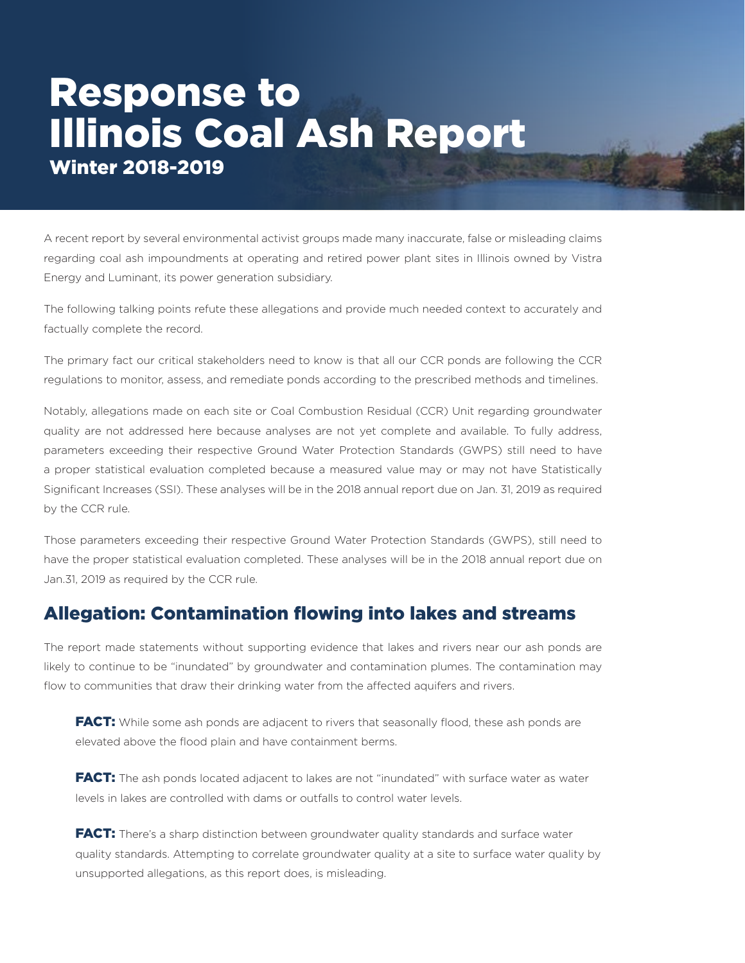# Response to Illinois Coal Ash Report Winter 2018-2019

A recent report by several environmental activist groups made many inaccurate, false or misleading claims regarding coal ash impoundments at operating and retired power plant sites in Illinois owned by Vistra Energy and Luminant, its power generation subsidiary.

The following talking points refute these allegations and provide much needed context to accurately and factually complete the record.

The primary fact our critical stakeholders need to know is that all our CCR ponds are following the CCR regulations to monitor, assess, and remediate ponds according to the prescribed methods and timelines.

Notably, allegations made on each site or Coal Combustion Residual (CCR) Unit regarding groundwater quality are not addressed here because analyses are not yet complete and available. To fully address, parameters exceeding their respective Ground Water Protection Standards (GWPS) still need to have a proper statistical evaluation completed because a measured value may or may not have Statistically Significant Increases (SSI). These analyses will be in the 2018 annual report due on Jan. 31, 2019 as required by the CCR rule.

Those parameters exceeding their respective Ground Water Protection Standards (GWPS), still need to have the proper statistical evaluation completed. These analyses will be in the 2018 annual report due on Jan.31, 2019 as required by the CCR rule.

#### Allegation: Contamination flowing into lakes and streams

The report made statements without supporting evidence that lakes and rivers near our ash ponds are likely to continue to be "inundated" by groundwater and contamination plumes. The contamination may flow to communities that draw their drinking water from the affected aquifers and rivers.

**FACT:** While some ash ponds are adjacent to rivers that seasonally flood, these ash ponds are elevated above the flood plain and have containment berms.

FACT: The ash ponds located adjacent to lakes are not "inundated" with surface water as water levels in lakes are controlled with dams or outfalls to control water levels.

**FACT:** There's a sharp distinction between groundwater quality standards and surface water quality standards. Attempting to correlate groundwater quality at a site to surface water quality by unsupported allegations, as this report does, is misleading.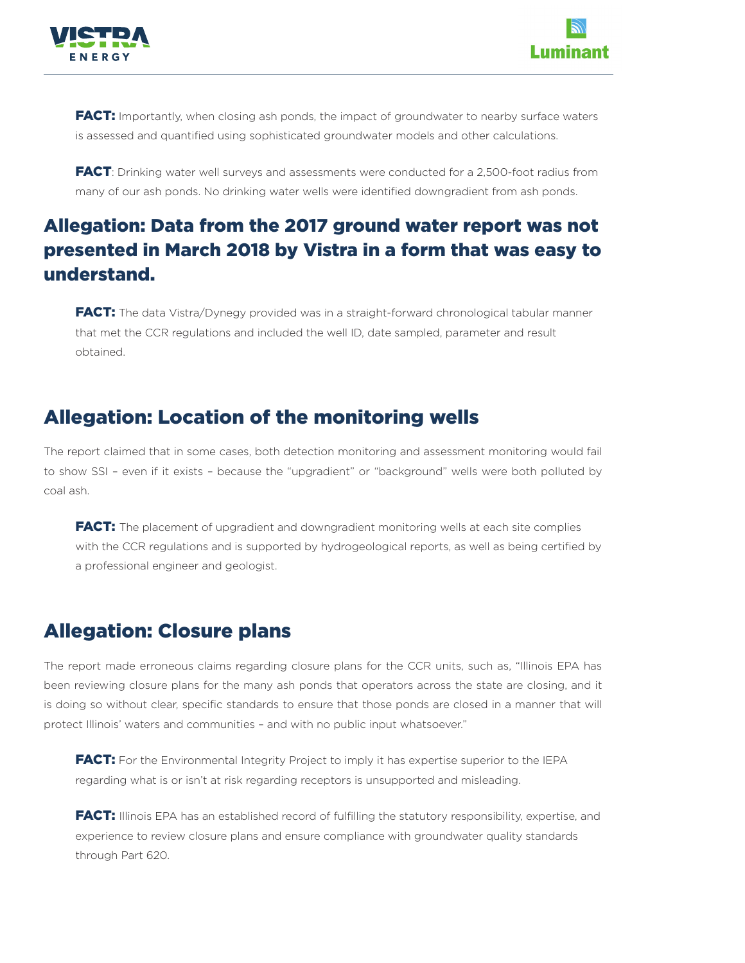



**FACT:** Importantly, when closing ash ponds, the impact of groundwater to nearby surface waters is assessed and quantified using sophisticated groundwater models and other calculations.

**FACT**: Drinking water well surveys and assessments were conducted for a 2,500-foot radius from many of our ash ponds. No drinking water wells were identified downgradient from ash ponds.

## Allegation: Data from the 2017 ground water report was not presented in March 2018 by Vistra in a form that was easy to understand.

FACT: The data Vistra/Dynegy provided was in a straight-forward chronological tabular manner that met the CCR regulations and included the well ID, date sampled, parameter and result obtained.

### Allegation: Location of the monitoring wells

The report claimed that in some cases, both detection monitoring and assessment monitoring would fail to show SSI – even if it exists – because the "upgradient" or "background" wells were both polluted by coal ash.

**FACT:** The placement of upgradient and downgradient monitoring wells at each site complies with the CCR regulations and is supported by hydrogeological reports, as well as being certified by a professional engineer and geologist.

#### Allegation: Closure plans

The report made erroneous claims regarding closure plans for the CCR units, such as, "Illinois EPA has been reviewing closure plans for the many ash ponds that operators across the state are closing, and it is doing so without clear, specific standards to ensure that those ponds are closed in a manner that will protect Illinois' waters and communities – and with no public input whatsoever."

FACT: For the Environmental Integrity Project to imply it has expertise superior to the IEPA regarding what is or isn't at risk regarding receptors is unsupported and misleading.

**FACT:** Illinois EPA has an established record of fulfilling the statutory responsibility, expertise, and experience to review closure plans and ensure compliance with groundwater quality standards through Part 620.